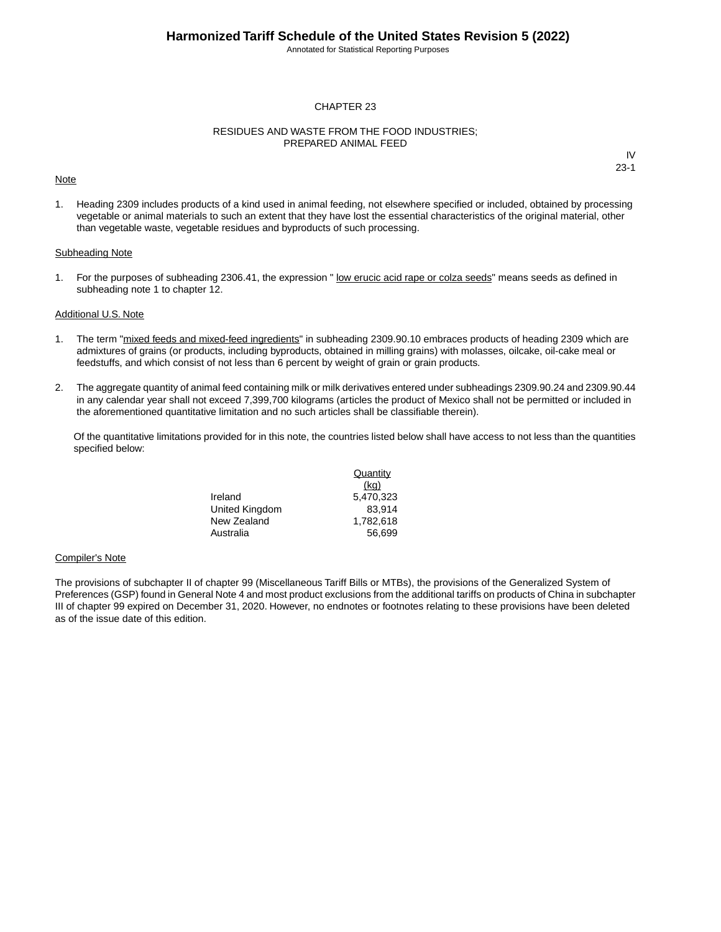Annotated for Statistical Reporting Purposes

### CHAPTER 23

### RESIDUES AND WASTE FROM THE FOOD INDUSTRIES; PREPARED ANIMAL FEED

#### **Note**

IV 23-1

1. Heading 2309 includes products of a kind used in animal feeding, not elsewhere specified or included, obtained by processing vegetable or animal materials to such an extent that they have lost the essential characteristics of the original material, other than vegetable waste, vegetable residues and byproducts of such processing.

### Subheading Note

1. For the purposes of subheading 2306.41, the expression " low erucic acid rape or colza seeds" means seeds as defined in subheading note 1 to chapter 12.

#### Additional U.S. Note

- 1. The term "mixed feeds and mixed-feed ingredients" in subheading 2309.90.10 embraces products of heading 2309 which are admixtures of grains (or products, including byproducts, obtained in milling grains) with molasses, oilcake, oil-cake meal or feedstuffs, and which consist of not less than 6 percent by weight of grain or grain products.
- 2. The aggregate quantity of animal feed containing milk or milk derivatives entered under subheadings 2309.90.24 and 2309.90.44 in any calendar year shall not exceed 7,399,700 kilograms (articles the product of Mexico shall not be permitted or included in the aforementioned quantitative limitation and no such articles shall be classifiable therein).

Of the quantitative limitations provided for in this note, the countries listed below shall have access to not less than the quantities specified below:

|                | Quantity  |
|----------------|-----------|
|                | (kq)      |
| Ireland        | 5.470.323 |
| United Kingdom | 83.914    |
| New Zealand    | 1.782.618 |
| Australia      | 56.699    |

#### Compiler's Note

The provisions of subchapter II of chapter 99 (Miscellaneous Tariff Bills or MTBs), the provisions of the Generalized System of Preferences (GSP) found in General Note 4 and most product exclusions from the additional tariffs on products of China in subchapter III of chapter 99 expired on December 31, 2020. However, no endnotes or footnotes relating to these provisions have been deleted as of the issue date of this edition.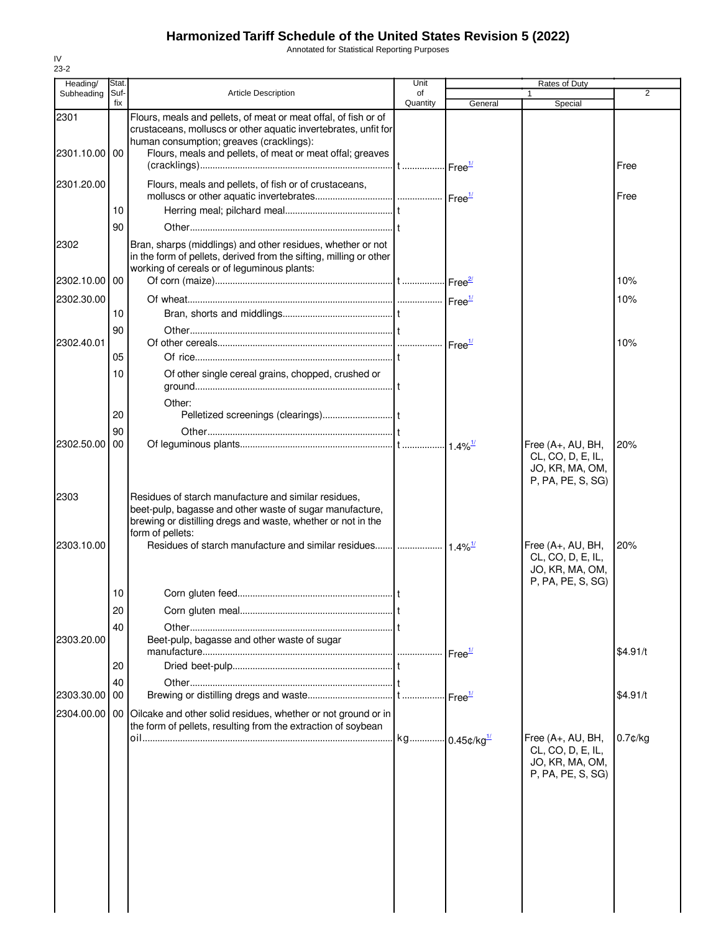Annotated for Statistical Reporting Purposes

| Heading/           | Stat.       |                                                                                                                                                                                                      | Unit           |         | Rates of Duty                                                                  |                |
|--------------------|-------------|------------------------------------------------------------------------------------------------------------------------------------------------------------------------------------------------------|----------------|---------|--------------------------------------------------------------------------------|----------------|
| Subheading         | Suf-<br>fix | <b>Article Description</b>                                                                                                                                                                           | of<br>Quantity |         | 1                                                                              | $\overline{2}$ |
| 2301               |             | Flours, meals and pellets, of meat or meat offal, of fish or of<br>crustaceans, molluscs or other aquatic invertebrates, unfit for                                                                   |                | General | Special                                                                        |                |
| 2301.10.00 00      |             | human consumption; greaves (cracklings):<br>Flours, meals and pellets, of meat or meat offal; greaves                                                                                                |                |         |                                                                                | Free           |
| 2301.20.00         |             | Flours, meals and pellets, of fish or of crustaceans,                                                                                                                                                |                |         |                                                                                | Free           |
|                    | 10          |                                                                                                                                                                                                      |                |         |                                                                                |                |
|                    | 90          |                                                                                                                                                                                                      |                |         |                                                                                |                |
| 2302               |             | Bran, sharps (middlings) and other residues, whether or not<br>in the form of pellets, derived from the sifting, milling or other<br>working of cereals or of leguminous plants:                     |                |         |                                                                                |                |
| 2302.10.00 00      |             |                                                                                                                                                                                                      |                |         |                                                                                | 10%            |
| 2302.30.00         |             |                                                                                                                                                                                                      |                |         |                                                                                | 10%            |
|                    | 10          |                                                                                                                                                                                                      |                |         |                                                                                |                |
|                    | 90          |                                                                                                                                                                                                      |                |         |                                                                                |                |
| 2302.40.01         | 05          |                                                                                                                                                                                                      |                |         |                                                                                | 10%            |
|                    | 10          | Of other single cereal grains, chopped, crushed or                                                                                                                                                   |                |         |                                                                                |                |
|                    |             | Other:                                                                                                                                                                                               |                |         |                                                                                |                |
|                    | 20          |                                                                                                                                                                                                      |                |         |                                                                                |                |
|                    | 90          |                                                                                                                                                                                                      |                |         |                                                                                |                |
| 2302.50.00         | 00          |                                                                                                                                                                                                      |                |         | Free (A+, AU, BH,<br>CL, CO, D, E, IL,<br>JO, KR, MA, OM,<br>P, PA, PE, S, SG) | 20%            |
| 2303<br>2303.10.00 |             | Residues of starch manufacture and similar residues,<br>beet-pulp, bagasse and other waste of sugar manufacture,<br>brewing or distilling dregs and waste, whether or not in the<br>form of pellets: |                |         | Free $(A+, AU, BH,$                                                            | 20%            |
|                    |             |                                                                                                                                                                                                      |                |         | CL, CO, D, E, IL,<br>JO, KR, MA, OM,<br>P, PA, PE, S, SG)                      |                |
|                    | 10          |                                                                                                                                                                                                      |                |         |                                                                                |                |
|                    | 20          |                                                                                                                                                                                                      |                |         |                                                                                |                |
| 2303.20.00         | 40          | Beet-pulp, bagasse and other waste of sugar                                                                                                                                                          |                |         |                                                                                | \$4.91/t       |
|                    | 20          |                                                                                                                                                                                                      |                |         |                                                                                |                |
|                    | 40          |                                                                                                                                                                                                      |                |         |                                                                                |                |
| 2303.30.00         | 00          |                                                                                                                                                                                                      |                |         |                                                                                | \$4.91/t       |
| 2304.00.00 00      |             | Oilcake and other solid residues, whether or not ground or in<br>the form of pellets, resulting from the extraction of soybean                                                                       |                |         |                                                                                |                |
|                    |             |                                                                                                                                                                                                      |                |         | Free (A+, AU, BH,<br>CL, CO, D, E, IL,<br>JO, KR, MA, OM,<br>P, PA, PE, S, SG) | 0.7¢/kg        |
|                    |             |                                                                                                                                                                                                      |                |         |                                                                                |                |
|                    |             |                                                                                                                                                                                                      |                |         |                                                                                |                |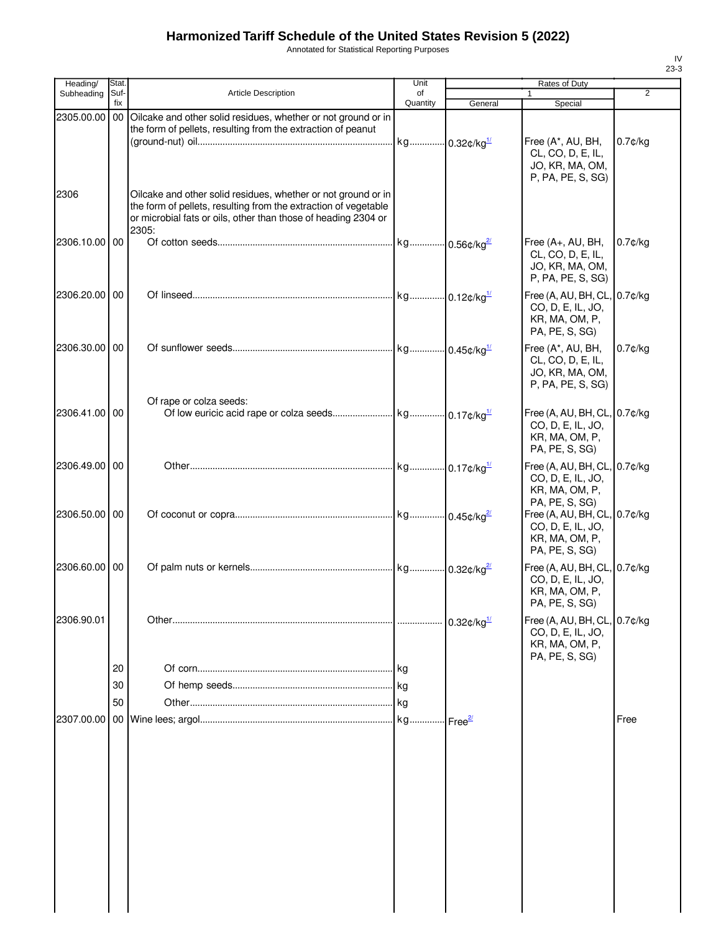Annotated for Statistical Reporting Purposes

| Heading/      | <b>Stat</b>    |                                                                                                                                                                                                             | Unit           |                            | Rates of Duty                                                                         |                |
|---------------|----------------|-------------------------------------------------------------------------------------------------------------------------------------------------------------------------------------------------------------|----------------|----------------------------|---------------------------------------------------------------------------------------|----------------|
| Subheading    | Suf-<br>fix    | <b>Article Description</b>                                                                                                                                                                                  | of<br>Quantity | General                    | 1<br>Special                                                                          | $\overline{2}$ |
| 2305.00.00    | 00             | Oilcake and other solid residues, whether or not ground or in<br>the form of pellets, resulting from the extraction of peanut                                                                               |                | $-0.32$ ¢/kg <sup>1/</sup> | Free (A*, AU, BH,<br>CL, CO, D, E, IL,<br>JO, KR, MA, OM,<br>P, PA, PE, S, SG)        | $0.7$ ¢/kg     |
| 2306          |                | Oilcake and other solid residues, whether or not ground or in<br>the form of pellets, resulting from the extraction of vegetable<br>or microbial fats or oils, other than those of heading 2304 or<br>2305: |                |                            |                                                                                       |                |
| 2306.10.00 00 |                |                                                                                                                                                                                                             |                |                            | Free (A+, AU, BH,<br>CL, CO, D, E, IL,<br>JO, KR, MA, OM,<br>P, PA, PE, S, SG)        | $0.7$ ¢/kg     |
| 2306.20.00 00 |                |                                                                                                                                                                                                             |                |                            | Free (A, AU, BH, CL, 0.7¢/kg<br>CO, D, E, IL, JO,<br>KR, MA, OM, P,<br>PA, PE, S, SG) |                |
| 2306.30.00 00 |                |                                                                                                                                                                                                             |                |                            | Free (A*, AU, BH,<br>CL, CO, D, E, IL,<br>JO, KR, MA, OM,<br>P, PA, PE, S, SG)        | $0.7$ ¢/kg     |
| 2306.41.00 00 |                | Of rape or colza seeds:                                                                                                                                                                                     |                |                            | Free (A, AU, BH, CL, 0.7¢/kg<br>CO, D, E, IL, JO,<br>KR, MA, OM, P,<br>PA, PE, S, SG) |                |
| 2306.49.00 00 |                |                                                                                                                                                                                                             |                |                            | Free (A, AU, BH, CL, 0.7¢/kg<br>CO, D, E, IL, JO,<br>KR, MA, OM, P,<br>PA, PE, S, SG) |                |
| 2306.50.00 00 |                |                                                                                                                                                                                                             |                |                            | Free (A, AU, BH, CL, 0.7¢/kg<br>CO, D, E, IL, JO,<br>KR, MA, OM, P,<br>PA, PE, S, SG) |                |
| 2306.60.00 00 |                |                                                                                                                                                                                                             |                |                            | Free (A, AU, BH, CL, 0.7¢/kg<br>CO, D, E, IL, JO,<br>KR, MA, OM, P,<br>PA, PE, S, SG) |                |
| 2306.90.01    |                |                                                                                                                                                                                                             |                | $0.32$ ¢/kg $\frac{1}{2}$  | Free (A, AU, BH, CL, 0.7¢/kg<br>CO, D, E, IL, JO,<br>KR, MA, OM, P,<br>PA, PE, S, SG) |                |
|               | 20<br>30<br>50 |                                                                                                                                                                                                             |                |                            |                                                                                       |                |
| 2307.00.00    |                |                                                                                                                                                                                                             |                |                            |                                                                                       | Free           |
|               |                |                                                                                                                                                                                                             |                |                            |                                                                                       |                |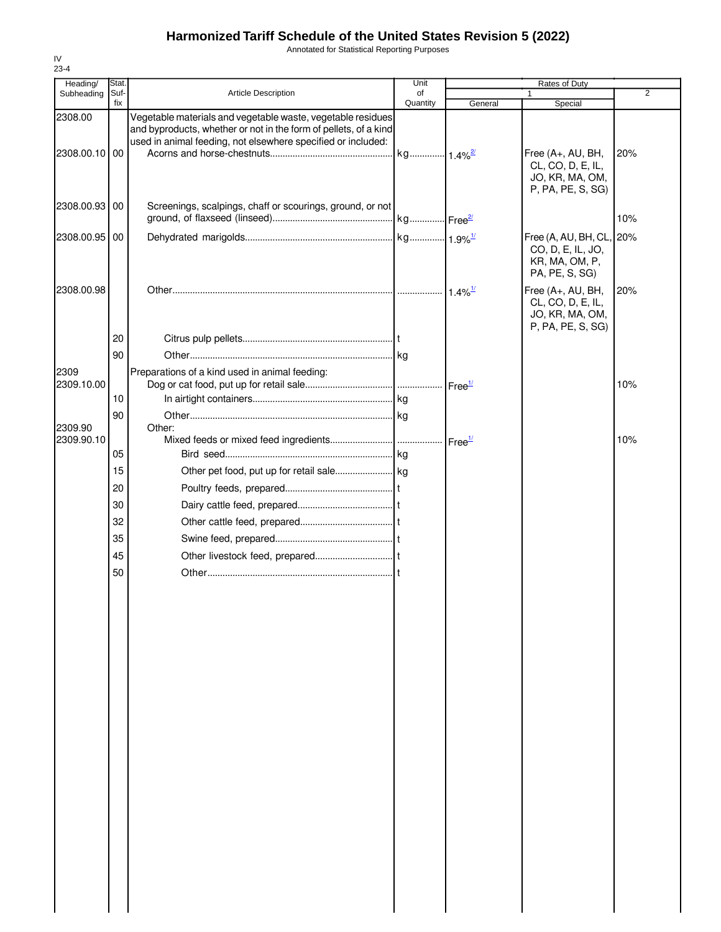Annotated for Statistical Reporting Purposes

| Heading/   | Stat. |                                                                                                                                                                                                 | Unit     |                       | Rates of Duty                                                                     |                |
|------------|-------|-------------------------------------------------------------------------------------------------------------------------------------------------------------------------------------------------|----------|-----------------------|-----------------------------------------------------------------------------------|----------------|
| Subheading | Suf-  | <b>Article Description</b>                                                                                                                                                                      | of       |                       |                                                                                   | $\overline{2}$ |
| 2308.00    | fix   | Vegetable materials and vegetable waste, vegetable residues<br>and byproducts, whether or not in the form of pellets, of a kind<br>used in animal feeding, not elsewhere specified or included: | Quantity | General               | Special                                                                           |                |
| 2308.00.10 | 00    |                                                                                                                                                                                                 |          |                       | Free (A+, AU, BH,<br>CL, CO, D, E, IL,<br>JO, KR, MA, OM,<br>P, PA, PE, S, SG)    | 20%            |
| 2308.00.93 | 00    | Screenings, scalpings, chaff or scourings, ground, or not                                                                                                                                       |          |                       |                                                                                   | 10%            |
| 2308.00.95 | 00    |                                                                                                                                                                                                 |          |                       | Free (A, AU, BH, CL, 20%<br>CO, D, E, IL, JO,<br>KR, MA, OM, P,<br>PA, PE, S, SG) |                |
| 2308.00.98 |       |                                                                                                                                                                                                 |          | $1.4\%$ <sup>1/</sup> | Free (A+, AU, BH,<br>CL, CO, D, E, IL,<br>JO, KR, MA, OM,<br>P, PA, PE, S, SG)    | 20%            |
|            | 20    |                                                                                                                                                                                                 |          |                       |                                                                                   |                |
|            | 90    |                                                                                                                                                                                                 |          |                       |                                                                                   |                |
| 2309       |       | Preparations of a kind used in animal feeding:                                                                                                                                                  |          |                       |                                                                                   |                |
| 2309.10.00 |       |                                                                                                                                                                                                 |          |                       |                                                                                   | 10%            |
|            | 10    |                                                                                                                                                                                                 |          |                       |                                                                                   |                |
|            | 90    |                                                                                                                                                                                                 |          |                       |                                                                                   |                |
| 2309.90    |       | Other:                                                                                                                                                                                          |          |                       |                                                                                   |                |
| 2309.90.10 |       |                                                                                                                                                                                                 |          | Free <sup>1/</sup>    |                                                                                   | 10%            |
|            | 05    |                                                                                                                                                                                                 |          |                       |                                                                                   |                |
|            | 15    |                                                                                                                                                                                                 |          |                       |                                                                                   |                |
|            | 20    |                                                                                                                                                                                                 |          |                       |                                                                                   |                |
|            | 30    |                                                                                                                                                                                                 |          |                       |                                                                                   |                |
|            | 32    |                                                                                                                                                                                                 |          |                       |                                                                                   |                |
|            | 35    |                                                                                                                                                                                                 |          |                       |                                                                                   |                |
|            | 45    |                                                                                                                                                                                                 |          |                       |                                                                                   |                |
|            | 50    |                                                                                                                                                                                                 |          |                       |                                                                                   |                |
|            |       |                                                                                                                                                                                                 |          |                       |                                                                                   |                |
|            |       |                                                                                                                                                                                                 |          |                       |                                                                                   |                |
|            |       |                                                                                                                                                                                                 |          |                       |                                                                                   |                |
|            |       |                                                                                                                                                                                                 |          |                       |                                                                                   |                |
|            |       |                                                                                                                                                                                                 |          |                       |                                                                                   |                |
|            |       |                                                                                                                                                                                                 |          |                       |                                                                                   |                |
|            |       |                                                                                                                                                                                                 |          |                       |                                                                                   |                |
|            |       |                                                                                                                                                                                                 |          |                       |                                                                                   |                |
|            |       |                                                                                                                                                                                                 |          |                       |                                                                                   |                |
|            |       |                                                                                                                                                                                                 |          |                       |                                                                                   |                |
|            |       |                                                                                                                                                                                                 |          |                       |                                                                                   |                |
|            |       |                                                                                                                                                                                                 |          |                       |                                                                                   |                |
|            |       |                                                                                                                                                                                                 |          |                       |                                                                                   |                |
|            |       |                                                                                                                                                                                                 |          |                       |                                                                                   |                |
|            |       |                                                                                                                                                                                                 |          |                       |                                                                                   |                |
|            |       |                                                                                                                                                                                                 |          |                       |                                                                                   |                |
|            |       |                                                                                                                                                                                                 |          |                       |                                                                                   |                |
|            |       |                                                                                                                                                                                                 |          |                       |                                                                                   |                |
|            |       |                                                                                                                                                                                                 |          |                       |                                                                                   |                |
|            |       |                                                                                                                                                                                                 |          |                       |                                                                                   |                |
|            |       |                                                                                                                                                                                                 |          |                       |                                                                                   |                |
|            |       |                                                                                                                                                                                                 |          |                       |                                                                                   |                |
|            |       |                                                                                                                                                                                                 |          |                       |                                                                                   |                |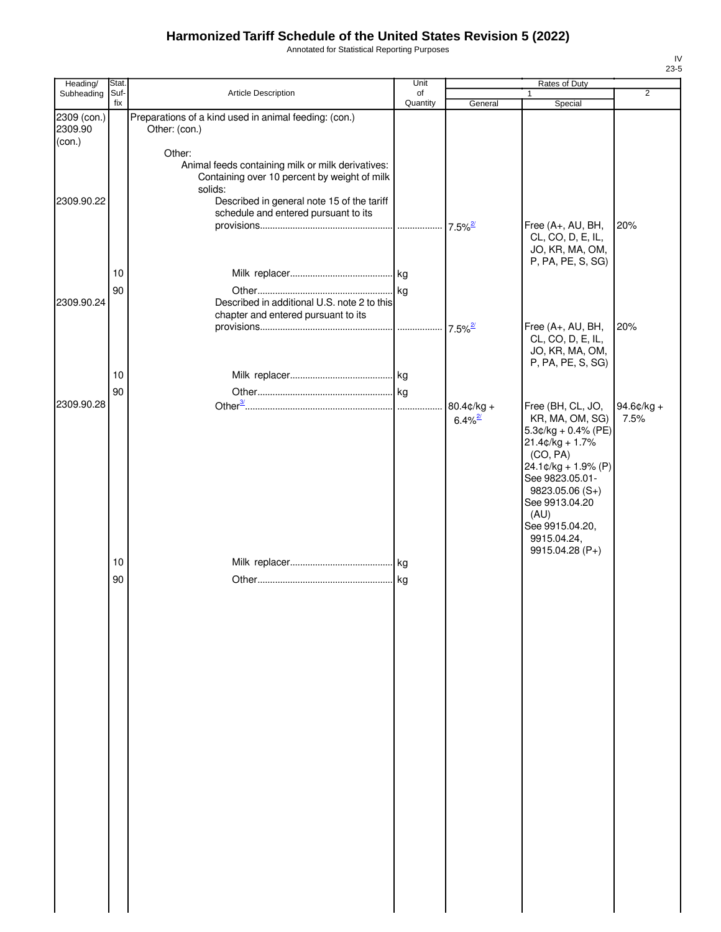Annotated for Statistical Reporting Purposes

| Heading/                         | Stat.       |                                                                                                                                                                                                              | Unit           |                       | Rates of Duty                                                                                                                                                                                                                            |                |
|----------------------------------|-------------|--------------------------------------------------------------------------------------------------------------------------------------------------------------------------------------------------------------|----------------|-----------------------|------------------------------------------------------------------------------------------------------------------------------------------------------------------------------------------------------------------------------------------|----------------|
| Subheading                       | Suf-<br>fix | Article Description                                                                                                                                                                                          | of<br>Quantity | General               | 1                                                                                                                                                                                                                                        | $\overline{2}$ |
| 2309 (con.)<br>2309.90<br>(con.) |             | Preparations of a kind used in animal feeding: (con.)<br>Other: (con.)                                                                                                                                       |                |                       | Special                                                                                                                                                                                                                                  |                |
| 2309.90.22                       |             | Other:<br>Animal feeds containing milk or milk derivatives:<br>Containing over 10 percent by weight of milk<br>solids:<br>Described in general note 15 of the tariff<br>schedule and entered pursuant to its |                |                       |                                                                                                                                                                                                                                          |                |
|                                  |             |                                                                                                                                                                                                              |                | $7.5\%$ <sup>2/</sup> | Free (A+, AU, BH,<br>CL, CO, D, E, IL,<br>JO, KR, MA, OM,<br>P, PA, PE, S, SG)                                                                                                                                                           | 20%            |
|                                  | 10          |                                                                                                                                                                                                              |                |                       |                                                                                                                                                                                                                                          |                |
|                                  | 90          |                                                                                                                                                                                                              |                |                       |                                                                                                                                                                                                                                          |                |
| 2309.90.24                       |             | Described in additional U.S. note 2 to this<br>chapter and entered pursuant to its                                                                                                                           |                | $7.5\%$ <sup>2/</sup> | Free (A+, AU, BH,                                                                                                                                                                                                                        | 20%            |
|                                  |             |                                                                                                                                                                                                              |                |                       | CL, CO, D, E, IL,<br>JO, KR, MA, OM,<br>P, PA, PE, S, SG)                                                                                                                                                                                |                |
|                                  | 10          |                                                                                                                                                                                                              |                |                       |                                                                                                                                                                                                                                          |                |
|                                  | 90          |                                                                                                                                                                                                              |                |                       |                                                                                                                                                                                                                                          |                |
| 2309.90.28                       |             |                                                                                                                                                                                                              |                | $80.4$ ¢/kg +         | Free (BH, CL, JO,                                                                                                                                                                                                                        | 94.6¢/kg +     |
|                                  |             |                                                                                                                                                                                                              |                | $6.4\%$ <sup>2/</sup> | KR, MA, OM, SG)<br>$5.3¢/kg + 0.4% (PE)$<br>$21.4¢/kg + 1.7%$<br>(CO, PA)<br>$24.1 \text{¢}/\text{kg} + 1.9\%$ (P)<br>See 9823.05.01-<br>$9823.05.06(S+)$<br>See 9913.04.20<br>(AU)<br>See 9915.04.20,<br>9915.04.24,<br>9915.04.28 (P+) | 7.5%           |
|                                  | 10          |                                                                                                                                                                                                              |                |                       |                                                                                                                                                                                                                                          |                |
|                                  | 90          |                                                                                                                                                                                                              |                |                       |                                                                                                                                                                                                                                          |                |
|                                  |             |                                                                                                                                                                                                              |                |                       |                                                                                                                                                                                                                                          |                |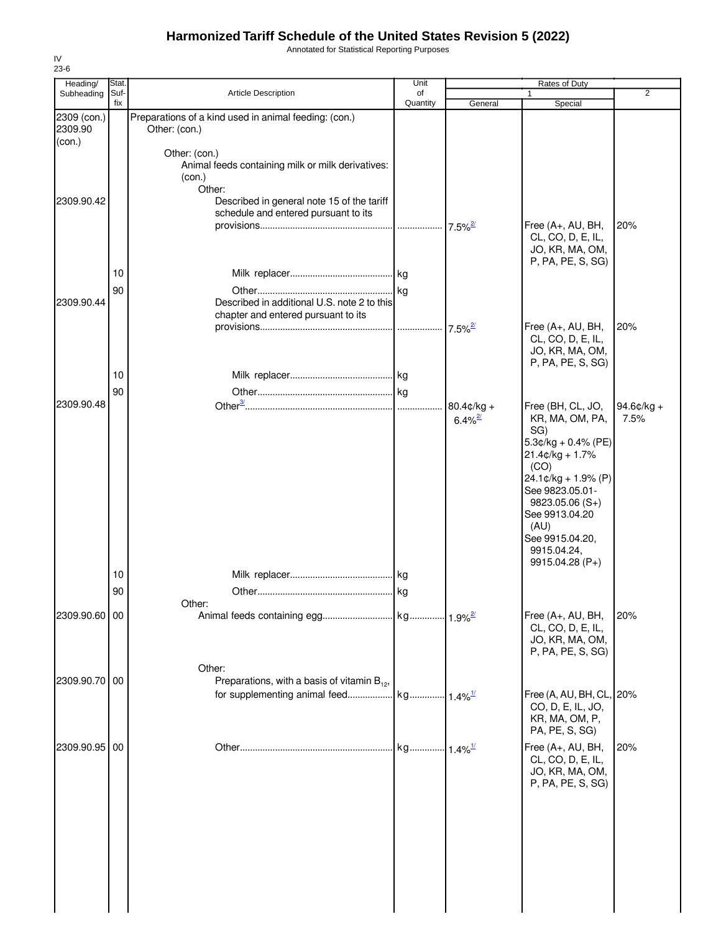Annotated for Statistical Reporting Purposes

| 23-6                             | Stat.    |                                                                                        | Unit     |                                        |                                                                                                                                                   |                    |
|----------------------------------|----------|----------------------------------------------------------------------------------------|----------|----------------------------------------|---------------------------------------------------------------------------------------------------------------------------------------------------|--------------------|
| Heading/<br>Subheading           | Suf-     | <b>Article Description</b>                                                             | of       |                                        | Rates of Duty                                                                                                                                     | 2                  |
| 2309 (con.)<br>2309.90<br>(con.) | fix      | Preparations of a kind used in animal feeding: (con.)<br>Other: (con.)                 | Quantity | General                                | Special                                                                                                                                           |                    |
|                                  |          | Other: (con.)<br>Animal feeds containing milk or milk derivatives:<br>(con.)<br>Other: |          |                                        |                                                                                                                                                   |                    |
| 2309.90.42                       |          | Described in general note 15 of the tariff<br>schedule and entered pursuant to its     |          |                                        | Free (A+, AU, BH,<br>CL, CO, D, E, IL,<br>JO, KR, MA, OM,                                                                                         | 20%                |
|                                  | 10       |                                                                                        |          |                                        | P, PA, PE, S, SG)                                                                                                                                 |                    |
| 2309.90.44                       | 90       | Described in additional U.S. note 2 to this<br>chapter and entered pursuant to its     |          |                                        | Free (A+, AU, BH,                                                                                                                                 | 20%                |
|                                  |          |                                                                                        |          | $7.5\%$ <sup>2/</sup>                  | CL, CO, D, E, IL,<br>JO, KR, MA, OM,<br>P, PA, PE, S, SG)                                                                                         |                    |
|                                  | 10<br>90 |                                                                                        |          |                                        |                                                                                                                                                   |                    |
| 2309.90.48                       |          |                                                                                        |          | $80.4$ ¢/kg +<br>$6.4\%$ <sup>2/</sup> | Free (BH, CL, JO,<br>KR, MA, OM, PA,<br>SG)<br>$5.3$ ¢/kg + 0.4% (PE)<br>$21.4¢/kg + 1.7%$                                                        | 94.6¢/kg +<br>7.5% |
|                                  |          |                                                                                        |          |                                        | (CO)<br>24.1¢/kg + 1.9% (P)<br>See 9823.05.01-<br>$9823.05.06(S+)$<br>See 9913.04.20<br>(AU)<br>See 9915.04.20,<br>9915.04.24,<br>9915.04.28 (P+) |                    |
|                                  | 10       |                                                                                        |          |                                        |                                                                                                                                                   |                    |
|                                  | 90       | Other:                                                                                 |          |                                        |                                                                                                                                                   |                    |
| 2309.90.60 00                    |          |                                                                                        |          |                                        | Free (A+, AU, BH,<br>CL, CO, D, E, IL,<br>JO, KR, MA, OM,<br>P, PA, PE, S, SG)                                                                    | 20%                |
| 2309.90.70 00                    |          | Other:<br>Preparations, with a basis of vitamin $B_{12}$ ,                             |          |                                        |                                                                                                                                                   |                    |
|                                  |          |                                                                                        |          |                                        | Free (A, AU, BH, CL, 20%<br>CO, D, E, IL, JO,<br>KR, MA, OM, P,<br>PA, PE, S, SG)                                                                 |                    |
| 2309.90.95 00                    |          |                                                                                        |          |                                        | Free (A+, AU, BH,<br>CL, CO, D, E, IL,<br>JO, KR, MA, OM,<br>P, PA, PE, S, SG)                                                                    | 20%                |
|                                  |          |                                                                                        |          |                                        |                                                                                                                                                   |                    |
|                                  |          |                                                                                        |          |                                        |                                                                                                                                                   |                    |
|                                  |          |                                                                                        |          |                                        |                                                                                                                                                   |                    |

IV